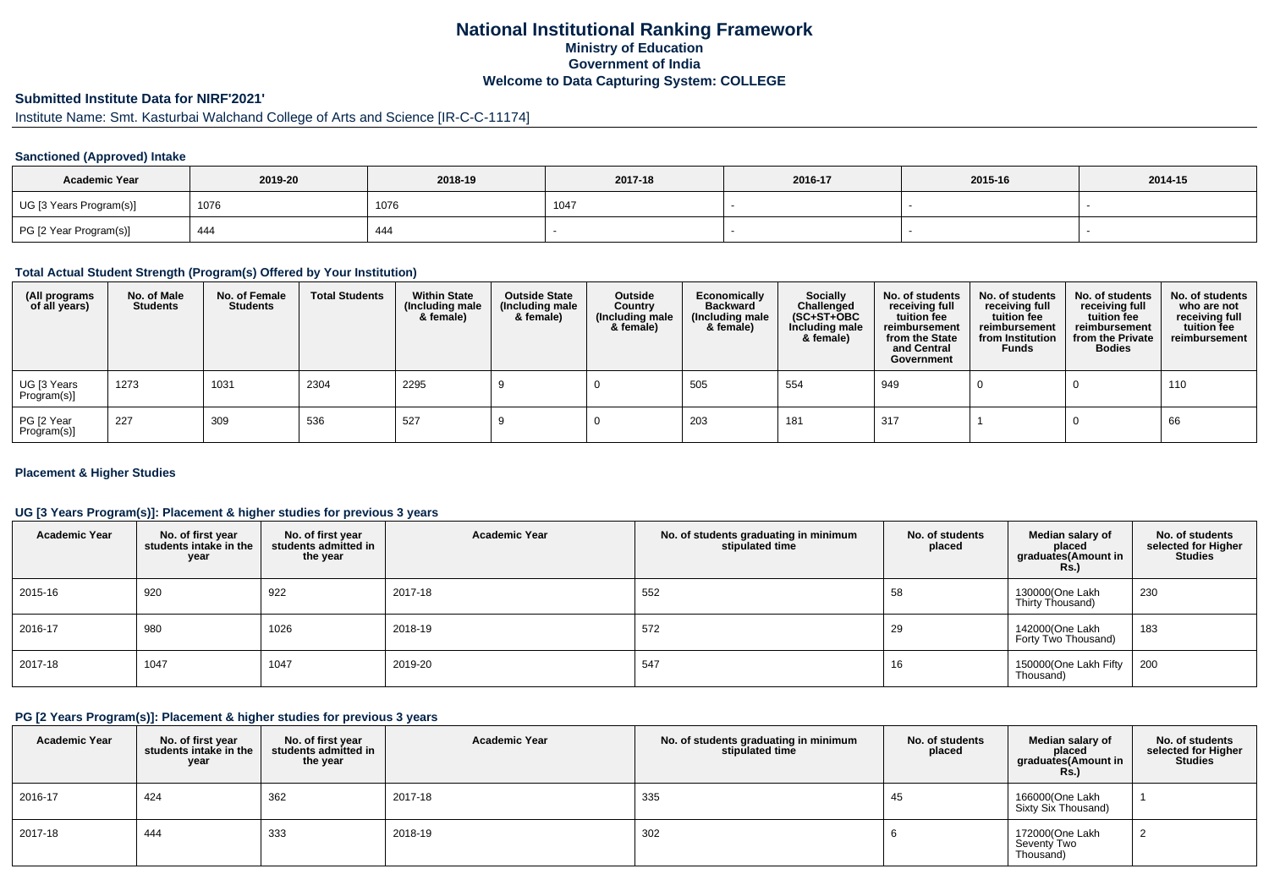## **National Institutional Ranking FrameworkMinistry of Education Government of IndiaWelcome to Data Capturing System: COLLEGE**

## **Submitted Institute Data for NIRF'2021'**

# Institute Name: Smt. Kasturbai Walchand College of Arts and Science [IR-C-C-11174]

#### **Sanctioned (Approved) Intake**

| <b>Academic Year</b>    | 2019-20 | 2018-19 | 2017-18 | 2016-17 | 2015-16 | 2014-15 |
|-------------------------|---------|---------|---------|---------|---------|---------|
| UG [3 Years Program(s)] | 1076    | 1076    | 104'    |         |         |         |
| PG [2 Year Program(s)]  | 444     | 444     |         |         |         |         |

### **Total Actual Student Strength (Program(s) Offered by Your Institution)**

| (All programs<br>of all years) | No. of Male<br><b>Students</b> | No. of Female<br><b>Students</b> | <b>Total Students</b> | <b>Within State</b><br>(Including male<br>& female) | <b>Outside State</b><br>(Including male<br>& female) | Outside<br>Country<br>(Including male<br>& female) | Economically<br><b>Backward</b><br>(Including male<br>& female) | <b>Socially</b><br>Challenged<br>$(SC+ST+OBC)$<br>Including male<br>& female) | No. of students<br>receiving full<br>tuition fee<br>reimbursement<br>from the State<br>and Central<br>Government | No. of students<br>receiving full<br>tuition fee<br>reimbursement<br>from Institution<br><b>Funds</b> | No. of students<br>receiving full<br>tuition fee<br>reimbursement<br>from the Private<br><b>Bodies</b> | No. of students<br>who are not<br>receiving full<br>tuition fee<br>reimbursement |
|--------------------------------|--------------------------------|----------------------------------|-----------------------|-----------------------------------------------------|------------------------------------------------------|----------------------------------------------------|-----------------------------------------------------------------|-------------------------------------------------------------------------------|------------------------------------------------------------------------------------------------------------------|-------------------------------------------------------------------------------------------------------|--------------------------------------------------------------------------------------------------------|----------------------------------------------------------------------------------|
| UG [3 Years<br>Program(s)]     | 1273                           | 1031                             | 2304                  | 2295                                                |                                                      |                                                    | 505                                                             | 554                                                                           | 949                                                                                                              |                                                                                                       |                                                                                                        | 110                                                                              |
| PG [2 Year<br>Program(s)]      | 227                            | 309                              | 536                   | 527                                                 |                                                      |                                                    | 203                                                             | 181                                                                           | 317                                                                                                              |                                                                                                       |                                                                                                        | 66                                                                               |

#### **Placement & Higher Studies**

#### **UG [3 Years Program(s)]: Placement & higher studies for previous 3 years**

| <b>Academic Year</b> | No. of first year<br>students intake in the<br>year | No. of first year<br>students admitted in<br>the year | <b>Academic Year</b> | No. of students graduating in minimum<br>stipulated time | No. of students<br>placed | Median salary of<br>placed<br>graduates (Amount in<br><b>Rs.</b> ) | No. of students<br>selected for Higher<br><b>Studies</b> |
|----------------------|-----------------------------------------------------|-------------------------------------------------------|----------------------|----------------------------------------------------------|---------------------------|--------------------------------------------------------------------|----------------------------------------------------------|
| 2015-16              | 920                                                 | 922                                                   | 2017-18              | 552                                                      | 58                        | 130000(One Lakh<br>Thirty Thousand)                                | 230                                                      |
| 2016-17              | 980                                                 | 1026                                                  | 2018-19              | 572                                                      | 29                        | 142000(One Lakh<br>Forty Two Thousand)                             | 183                                                      |
| 2017-18              | 1047                                                | 1047                                                  | 2019-20              | 547                                                      | 16                        | 150000(One Lakh Fifty<br>Thousand)                                 | 200                                                      |

#### **PG [2 Years Program(s)]: Placement & higher studies for previous 3 years**

| <b>Academic Year</b> | No. of first year<br>students intake in the<br>year | No. of first vear<br>students admitted in<br>the year | <b>Academic Year</b> | No. of students graduating in minimum<br>stipulated time | No. of students<br>placed | Median salary of<br>placed<br>graduates(Amount in<br><b>Rs.)</b> | No. of students<br>selected for Higher<br><b>Studies</b> |
|----------------------|-----------------------------------------------------|-------------------------------------------------------|----------------------|----------------------------------------------------------|---------------------------|------------------------------------------------------------------|----------------------------------------------------------|
| 2016-17              | 424                                                 | 362                                                   | 2017-18              | 335                                                      | 45                        | 166000(One Lakh<br>Sixty Six Thousand)                           |                                                          |
| 2017-18              | 444                                                 | 333                                                   | 2018-19              | 302                                                      |                           | 172000(One Lakh<br>Seventy Two<br>Thousand)                      |                                                          |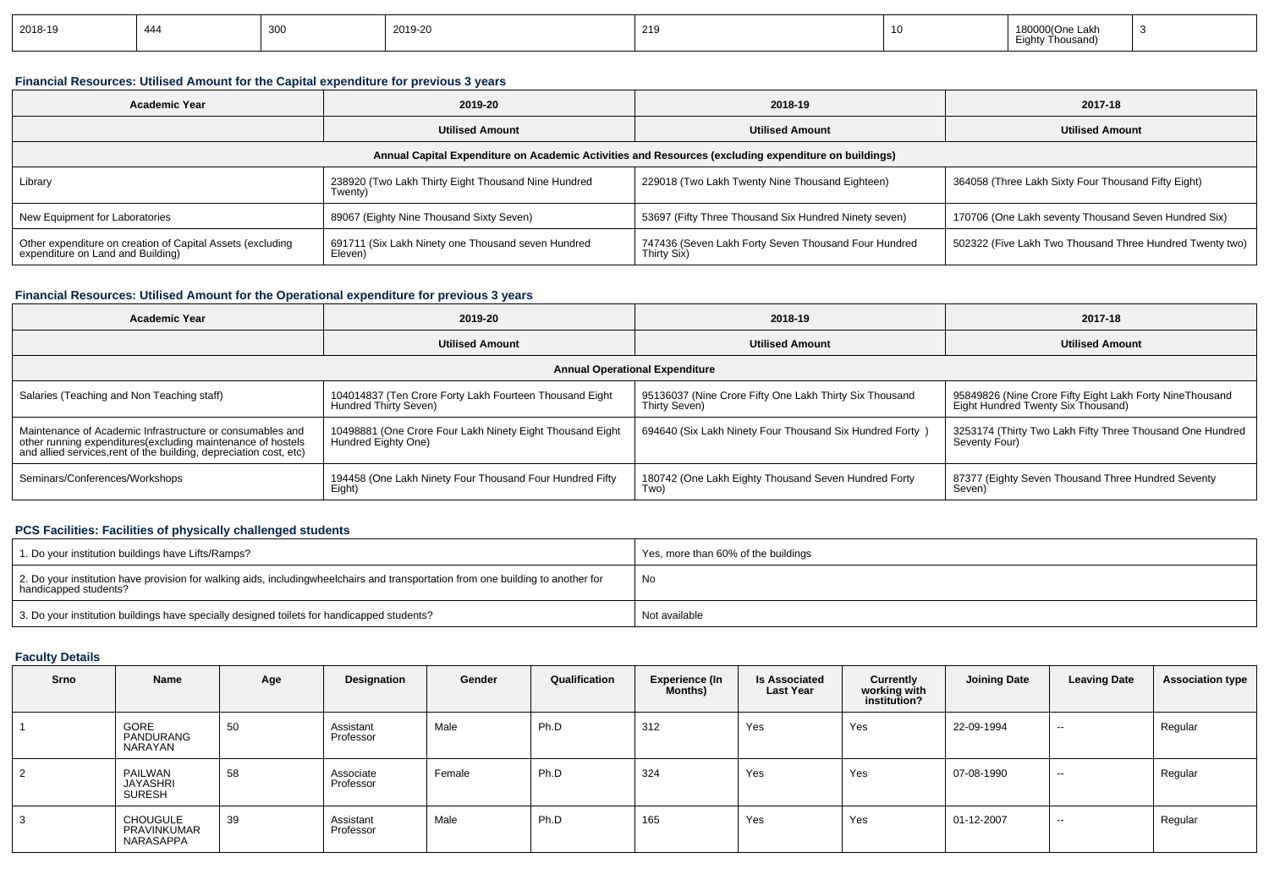| 2018-19 | 444 | $\sim$<br>ึ๛ | 2019-20 | 219 |  | `^′One Lakn_<br>housand)<br>$\mathsf{in}$ |  |
|---------|-----|--------------|---------|-----|--|-------------------------------------------|--|
|---------|-----|--------------|---------|-----|--|-------------------------------------------|--|

### **Financial Resources: Utilised Amount for the Capital expenditure for previous 3 years**

| <b>Academic Year</b>                                                                            | 2019-20                                                        | 2018-19                                                                                              | 2017-18                                                  |
|-------------------------------------------------------------------------------------------------|----------------------------------------------------------------|------------------------------------------------------------------------------------------------------|----------------------------------------------------------|
|                                                                                                 | <b>Utilised Amount</b>                                         | <b>Utilised Amount</b>                                                                               | <b>Utilised Amount</b>                                   |
|                                                                                                 |                                                                | Annual Capital Expenditure on Academic Activities and Resources (excluding expenditure on buildings) |                                                          |
| Library                                                                                         | 238920 (Two Lakh Thirty Eight Thousand Nine Hundred<br>Twenty) | 229018 (Two Lakh Twenty Nine Thousand Eighteen)                                                      | 364058 (Three Lakh Sixty Four Thousand Fifty Eight)      |
| New Equipment for Laboratories                                                                  | 89067 (Eighty Nine Thousand Sixty Seven)                       | 53697 (Fifty Three Thousand Six Hundred Ninety seven)                                                | 170706 (One Lakh seventy Thousand Seven Hundred Six)     |
| Other expenditure on creation of Capital Assets (excluding<br>expenditure on Land and Building) | 691711 (Six Lakh Ninety one Thousand seven Hundred<br>Eleven)  | 747436 (Seven Lakh Forty Seven Thousand Four Hundred<br>Thirty Six)                                  | 502322 (Five Lakh Two Thousand Three Hundred Twenty two) |

### **Financial Resources: Utilised Amount for the Operational expenditure for previous 3 years**

| <b>Academic Year</b>                                                                                                                                                                            | 2019-20                                                                          | 2018-19                                                                  | 2017-18                                                                                        |
|-------------------------------------------------------------------------------------------------------------------------------------------------------------------------------------------------|----------------------------------------------------------------------------------|--------------------------------------------------------------------------|------------------------------------------------------------------------------------------------|
|                                                                                                                                                                                                 | <b>Utilised Amount</b>                                                           | <b>Utilised Amount</b>                                                   | <b>Utilised Amount</b>                                                                         |
|                                                                                                                                                                                                 |                                                                                  | <b>Annual Operational Expenditure</b>                                    |                                                                                                |
| Salaries (Teaching and Non Teaching staff)                                                                                                                                                      | 104014837 (Ten Crore Forty Lakh Fourteen Thousand Eight<br>Hundred Thirty Seven) | 95136037 (Nine Crore Fifty One Lakh Thirty Six Thousand<br>Thirty Seven) | 95849826 (Nine Crore Fifty Eight Lakh Forty NineThousand<br>Eight Hundred Twenty Six Thousand) |
| Maintenance of Academic Infrastructure or consumables and<br>other running expenditures (excluding maintenance of hostels<br>and allied services, rent of the building, depreciation cost, etc) | 10498881 (One Crore Four Lakh Ninety Eight Thousand Eight<br>Hundred Eighty One) | 694640 (Six Lakh Ninety Four Thousand Six Hundred Forty)                 | 3253174 (Thirty Two Lakh Fifty Three Thousand One Hundred<br>Seventy Four)                     |
| Seminars/Conferences/Workshops                                                                                                                                                                  | 194458 (One Lakh Ninety Four Thousand Four Hundred Fifty<br>Eight)               | 180742 (One Lakh Eighty Thousand Seven Hundred Forty<br>Two)             | 87377 (Eighty Seven Thousand Three Hundred Seventy<br>Seven)                                   |

### **PCS Facilities: Facilities of physically challenged students**

| 1. Do your institution buildings have Lifts/Ramps?                                                                                                        | Yes, more than 60% of the buildings |
|-----------------------------------------------------------------------------------------------------------------------------------------------------------|-------------------------------------|
| 2. Do your institution have provision for walking aids, includingwheelchairs and transportation from one building to another for<br>handicapped students? | No                                  |
| 3. Do your institution buildings have specially designed toilets for handicapped students?                                                                | Not available                       |

## **Faculty Details**

| Srno | <b>Name</b>                                 | Age | Designation            | Gender | Qualification | <b>Experience (In</b><br>Months) | <b>Is Associated</b><br><b>Last Year</b> | Currently<br>working with<br>institution? | <b>Joining Date</b> | <b>Leaving Date</b> | <b>Association type</b> |
|------|---------------------------------------------|-----|------------------------|--------|---------------|----------------------------------|------------------------------------------|-------------------------------------------|---------------------|---------------------|-------------------------|
|      | GORE<br>PANDURANG<br>NARAYAN                | 50  | Assistant<br>Professor | Male   | Ph.D          | 312                              | Yes                                      | Yes                                       | 22-09-1994          | $- -$               | Regular                 |
| 2    | PAILWAN<br>JAYASHRI<br><b>SURESH</b>        | 58  | Associate<br>Professor | Female | Ph.D          | 324                              | Yes                                      | Yes                                       | 07-08-1990          | $\sim$              | Regular                 |
| 3    | <b>CHOUGULE</b><br>PRAVINKUMAR<br>NARASAPPA | 39  | Assistant<br>Professor | Male   | Ph.D          | 165                              | Yes                                      | Yes                                       | 01-12-2007          | $- -$               | Regular                 |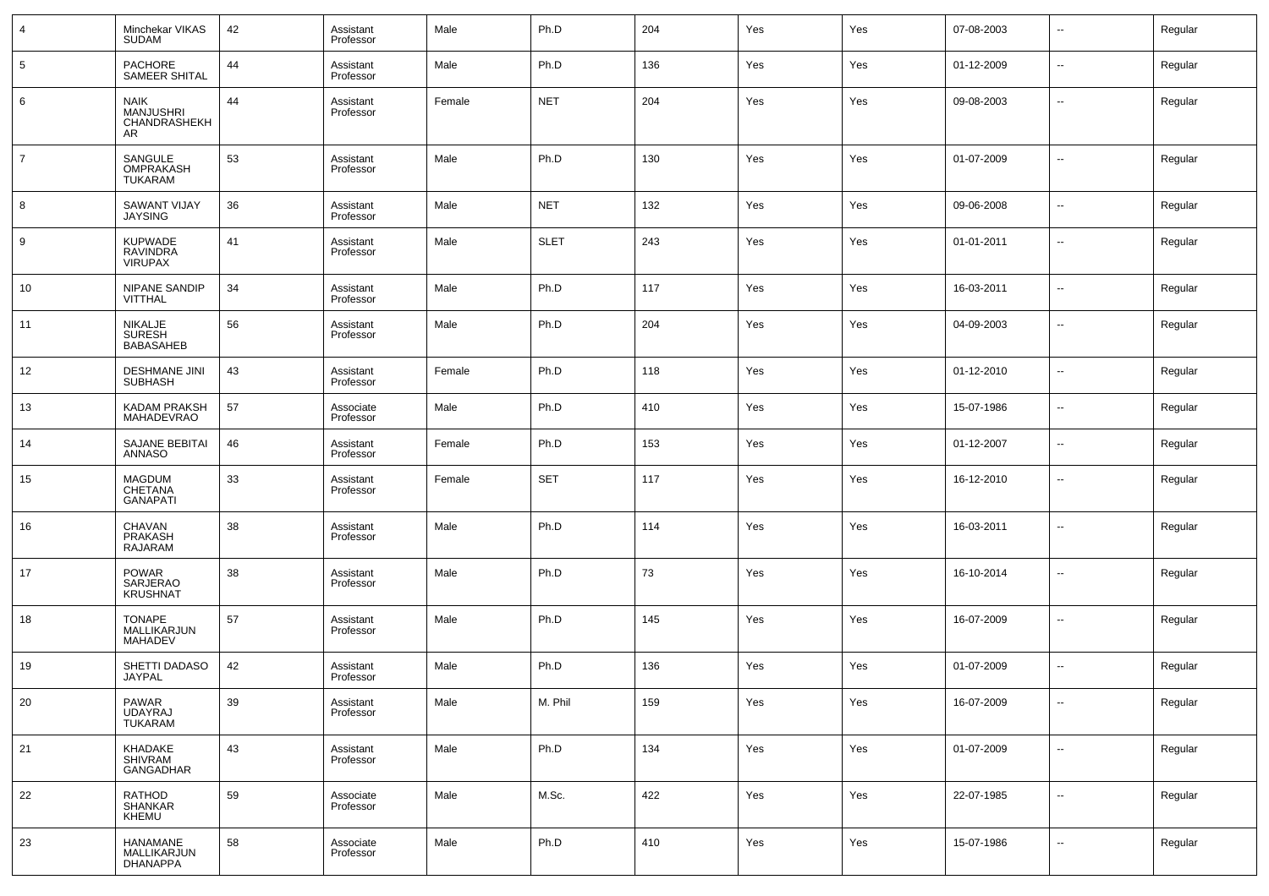| 4              | Minchekar VIKAS<br><b>SUDAM</b>                               | 42 | Assistant<br>Professor | Male   | Ph.D        | 204 | Yes | Yes | 07-08-2003 | $\sim$                   | Regular |
|----------------|---------------------------------------------------------------|----|------------------------|--------|-------------|-----|-----|-----|------------|--------------------------|---------|
| 5              | <b>PACHORE</b><br>SAMEER SHITAL                               | 44 | Assistant<br>Professor | Male   | Ph.D        | 136 | Yes | Yes | 01-12-2009 | $\sim$                   | Regular |
| 6              | <b>NAIK</b><br><b>MANJUSHRI</b><br><b>CHANDRASHEKH</b><br>AR. | 44 | Assistant<br>Professor | Female | <b>NET</b>  | 204 | Yes | Yes | 09-08-2003 | $\sim$                   | Regular |
| $\overline{7}$ | SANGULE<br>OMPRAKASH<br><b>TUKARAM</b>                        | 53 | Assistant<br>Professor | Male   | Ph.D        | 130 | Yes | Yes | 01-07-2009 | --                       | Regular |
| 8              | <b>SAWANT VIJAY</b><br><b>JAYSING</b>                         | 36 | Assistant<br>Professor | Male   | <b>NET</b>  | 132 | Yes | Yes | 09-06-2008 | $\sim$                   | Regular |
| 9              | <b>KUPWADE</b><br>RAVINDRA<br><b>VIRUPAX</b>                  | 41 | Assistant<br>Professor | Male   | <b>SLET</b> | 243 | Yes | Yes | 01-01-2011 | $\sim$                   | Regular |
| 10             | <b>NIPANE SANDIP</b><br><b>VITTHAL</b>                        | 34 | Assistant<br>Professor | Male   | Ph.D        | 117 | Yes | Yes | 16-03-2011 | ш,                       | Regular |
| 11             | NIKALJE<br><b>SURESH</b><br><b>BABASAHEB</b>                  | 56 | Assistant<br>Professor | Male   | Ph.D        | 204 | Yes | Yes | 04-09-2003 | $\overline{\phantom{a}}$ | Regular |
| 12             | <b>DESHMANE JINI</b><br><b>SUBHASH</b>                        | 43 | Assistant<br>Professor | Female | Ph.D        | 118 | Yes | Yes | 01-12-2010 | $\sim$                   | Regular |
| 13             | KADAM PRAKSH<br><b>MAHADEVRAO</b>                             | 57 | Associate<br>Professor | Male   | Ph.D        | 410 | Yes | Yes | 15-07-1986 | $\sim$                   | Regular |
| 14             | SAJANE BEBITAI<br><b>ANNASO</b>                               | 46 | Assistant<br>Professor | Female | Ph.D        | 153 | Yes | Yes | 01-12-2007 | $\sim$                   | Regular |
| 15             | <b>MAGDUM</b><br>CHETANA<br><b>GANAPATI</b>                   | 33 | Assistant<br>Professor | Female | <b>SET</b>  | 117 | Yes | Yes | 16-12-2010 | --                       | Regular |
| 16             | CHAVAN<br>PRAKASH<br>RAJARAM                                  | 38 | Assistant<br>Professor | Male   | Ph.D        | 114 | Yes | Yes | 16-03-2011 | $\sim$                   | Regular |
| 17             | <b>POWAR</b><br>SARJERAO<br><b>KRUSHNAT</b>                   | 38 | Assistant<br>Professor | Male   | Ph.D        | 73  | Yes | Yes | 16-10-2014 | $\sim$                   | Regular |
| 18             | <b>TONAPE</b><br>MALLIKARJUN<br><b>MAHADEV</b>                | 57 | Assistant<br>Professor | Male   | Ph.D        | 145 | Yes | Yes | 16-07-2009 | --                       | Regular |
| 19             | SHETTI DADASO<br>JAYPAL                                       | 42 | Assistant<br>Professor | Male   | Ph.D        | 136 | Yes | Yes | 01-07-2009 | --                       | Regular |
| 20             | PAWAR<br>UDAYRAJ<br>TUKARAM                                   | 39 | Assistant<br>Professor | Male   | M. Phil     | 159 | Yes | Yes | 16-07-2009 | $\sim$                   | Regular |
| 21             | KHADAKE<br>SHIVRAM<br><b>GANGADHAR</b>                        | 43 | Assistant<br>Professor | Male   | Ph.D        | 134 | Yes | Yes | 01-07-2009 | $\overline{\phantom{a}}$ | Regular |
| 22             | RATHOD<br>SHANKAR<br>KHEMU                                    | 59 | Associate<br>Professor | Male   | M.Sc.       | 422 | Yes | Yes | 22-07-1985 | $\overline{\phantom{a}}$ | Regular |
| 23             | HANAMANE<br>MALLIKARJUN<br><b>DHANAPPA</b>                    | 58 | Associate<br>Professor | Male   | Ph.D        | 410 | Yes | Yes | 15-07-1986 | $\sim$                   | Regular |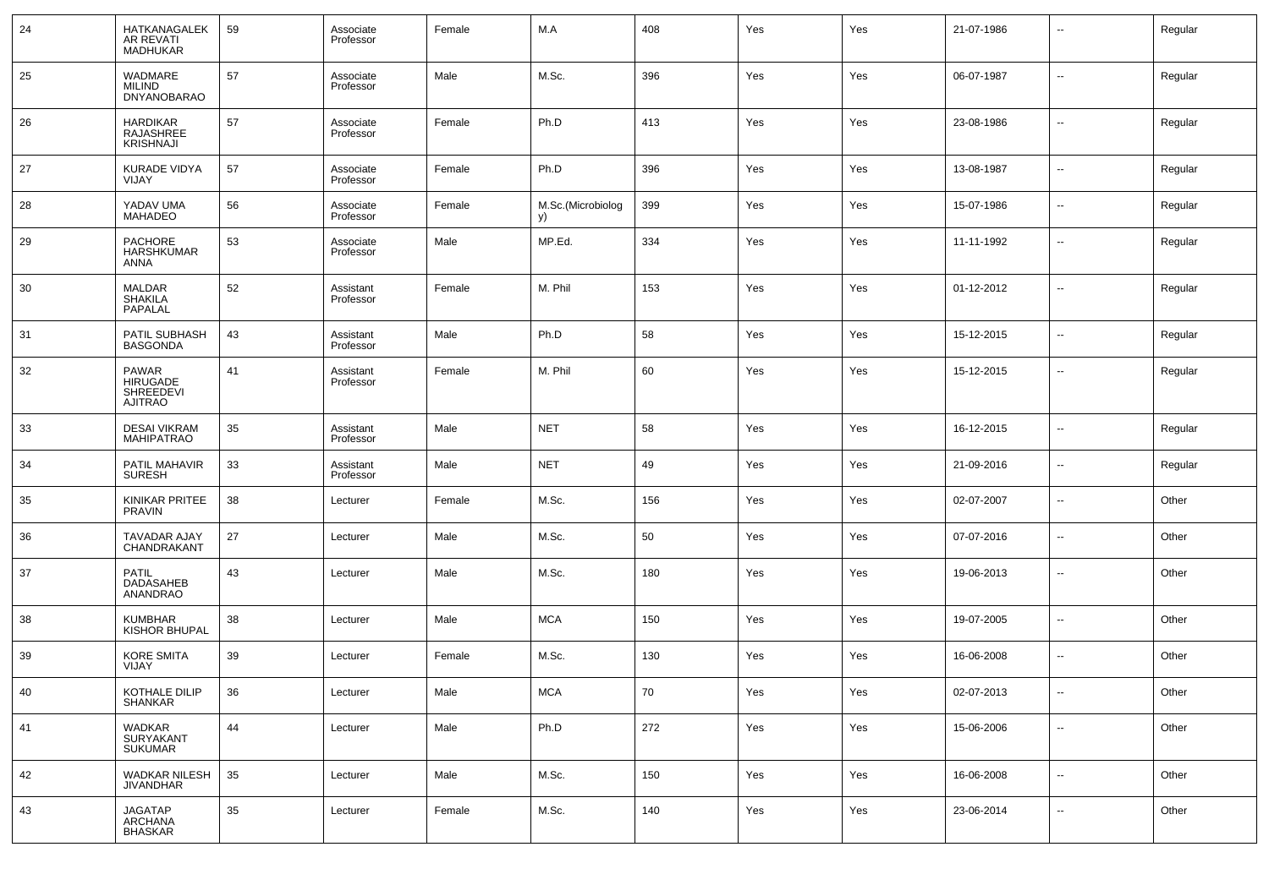| 24 | HATKANAGALEK<br>AR REVATI<br>MADHUKAR                          | 59 | Associate<br>Professor | Female | M.A                     | 408 | Yes | Yes | 21-07-1986 | $\overline{\phantom{a}}$ | Regular |
|----|----------------------------------------------------------------|----|------------------------|--------|-------------------------|-----|-----|-----|------------|--------------------------|---------|
| 25 | WADMARE<br><b>MILIND</b><br><b>DNYANOBARAO</b>                 | 57 | Associate<br>Professor | Male   | M.Sc.                   | 396 | Yes | Yes | 06-07-1987 | $\overline{\phantom{a}}$ | Regular |
| 26 | <b>HARDIKAR</b><br>RAJASHREE<br><b>KRISHNAJI</b>               | 57 | Associate<br>Professor | Female | Ph.D                    | 413 | Yes | Yes | 23-08-1986 | $\overline{\phantom{a}}$ | Regular |
| 27 | <b>KURADE VIDYA</b><br>VIJAY                                   | 57 | Associate<br>Professor | Female | Ph.D                    | 396 | Yes | Yes | 13-08-1987 | $\overline{\phantom{a}}$ | Regular |
| 28 | YADAV UMA<br><b>MAHADEO</b>                                    | 56 | Associate<br>Professor | Female | M.Sc.(Microbiolog<br>y) | 399 | Yes | Yes | 15-07-1986 | $\overline{\phantom{a}}$ | Regular |
| 29 | PACHORE<br><b>HARSHKUMAR</b><br>ANNA                           | 53 | Associate<br>Professor | Male   | MP.Ed.                  | 334 | Yes | Yes | 11-11-1992 | $\overline{\phantom{a}}$ | Regular |
| 30 | <b>MALDAR</b><br><b>SHAKILA</b><br>PAPALAL                     | 52 | Assistant<br>Professor | Female | M. Phil                 | 153 | Yes | Yes | 01-12-2012 | $\overline{\phantom{a}}$ | Regular |
| 31 | PATIL SUBHASH<br><b>BASGONDA</b>                               | 43 | Assistant<br>Professor | Male   | Ph.D                    | 58  | Yes | Yes | 15-12-2015 | $\overline{\phantom{a}}$ | Regular |
| 32 | <b>PAWAR</b><br><b>HIRUGADE</b><br>SHREEDEVI<br><b>AJITRAO</b> | 41 | Assistant<br>Professor | Female | M. Phil                 | 60  | Yes | Yes | 15-12-2015 | $\overline{\phantom{a}}$ | Regular |
| 33 | <b>DESAI VIKRAM</b><br><b>MAHIPATRAO</b>                       | 35 | Assistant<br>Professor | Male   | <b>NET</b>              | 58  | Yes | Yes | 16-12-2015 | $\overline{\phantom{a}}$ | Regular |
| 34 | PATIL MAHAVIR<br><b>SURESH</b>                                 | 33 | Assistant<br>Professor | Male   | <b>NET</b>              | 49  | Yes | Yes | 21-09-2016 | $\overline{\phantom{a}}$ | Regular |
| 35 | KINIKAR PRITEE<br><b>PRAVIN</b>                                | 38 | Lecturer               | Female | M.Sc.                   | 156 | Yes | Yes | 02-07-2007 | $\overline{\phantom{a}}$ | Other   |
| 36 | TAVADAR AJAY<br>CHANDRAKANT                                    | 27 | Lecturer               | Male   | M.Sc.                   | 50  | Yes | Yes | 07-07-2016 | $\overline{\phantom{a}}$ | Other   |
| 37 | <b>PATIL</b><br>DADASAHEB<br>ANANDRAO                          | 43 | Lecturer               | Male   | M.Sc.                   | 180 | Yes | Yes | 19-06-2013 | $\overline{\phantom{a}}$ | Other   |
| 38 | <b>KUMBHAR</b><br><b>KISHOR BHUPAL</b>                         | 38 | Lecturer               | Male   | <b>MCA</b>              | 150 | Yes | Yes | 19-07-2005 | $\overline{\phantom{a}}$ | Other   |
| 39 | <b>KORE SMITA</b><br>VIJAY                                     | 39 | Lecturer               | Female | M.Sc.                   | 130 | Yes | Yes | 16-06-2008 | $\overline{\phantom{a}}$ | Other   |
| 40 | KOTHALE DILIP<br>SHANKAR                                       | 36 | Lecturer               | Male   | $\sf MC$ A              | 70  | Yes | Yes | 02-07-2013 |                          | Other   |
| 41 | WADKAR<br>SURYAKANT<br>SUKUMAR                                 | 44 | Lecturer               | Male   | Ph.D                    | 272 | Yes | Yes | 15-06-2006 | $\overline{\phantom{a}}$ | Other   |
| 42 | WADKAR NILESH<br><b>JIVANDHAR</b>                              | 35 | Lecturer               | Male   | M.Sc.                   | 150 | Yes | Yes | 16-06-2008 | $\overline{\phantom{a}}$ | Other   |
| 43 | JAGATAP<br>ARCHANA<br>BHASKAR                                  | 35 | Lecturer               | Female | M.Sc.                   | 140 | Yes | Yes | 23-06-2014 | ۰.                       | Other   |